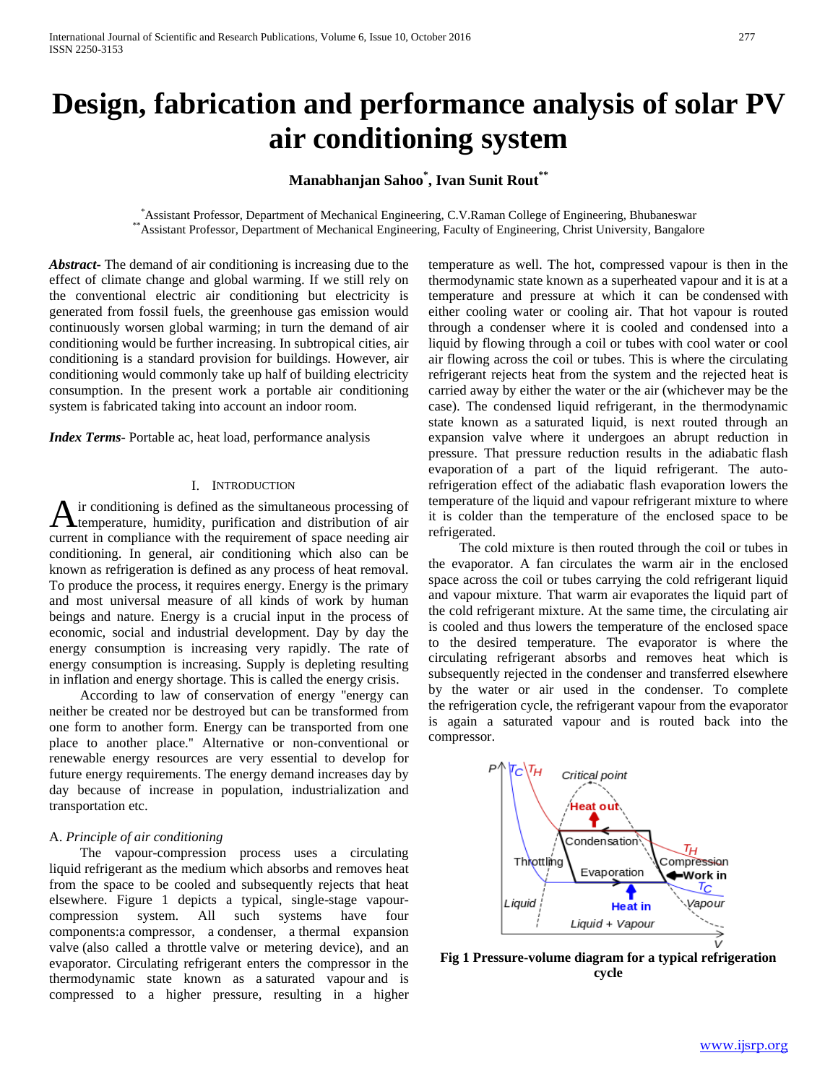# **Design, fabrication and performance analysis of solar PV air conditioning system**

## **Manabhanjan Sahoo\* , Ivan Sunit Rout\*\***

\*Assistant Professor, Department of Mechanical Engineering, C.V.Raman College of Engineering, Bhubaneswar \*\* Assistant Professor, Department of Mechanical Engineering, Faculty of Engineering, Christ University, Bangalore

*Abstract***-** The demand of air conditioning is increasing due to the effect of climate change and global warming. If we still rely on the conventional electric air conditioning but electricity is generated from fossil fuels, the greenhouse gas emission would continuously worsen global warming; in turn the demand of air conditioning would be further increasing. In subtropical cities, air conditioning is a standard provision for buildings. However, air conditioning would commonly take up half of building electricity consumption. In the present work a portable air conditioning system is fabricated taking into account an indoor room.

*Index Terms*- Portable ac, heat load, performance analysis

#### I. INTRODUCTION

ir conditioning is defined as the simultaneous processing of A ir conditioning is defined as the simultaneous processing of temperature, humidity, purification and distribution of air current in compliance with the requirement of space needing air conditioning. In general, air conditioning which also can be known as refrigeration is defined as any process of heat removal. To produce the process, it requires energy. Energy is the primary and most universal measure of all kinds of work by human beings and nature. Energy is a crucial input in the process of economic, social and industrial development. Day by day the energy consumption is increasing very rapidly. The rate of energy consumption is increasing. Supply is depleting resulting in inflation and energy shortage. This is called the energy crisis.

 According to law of conservation of energy ''energy can neither be created nor be destroyed but can be transformed from one form to another form. Energy can be transported from one place to another place.'' Alternative or non-conventional or renewable energy resources are very essential to develop for future energy requirements. The energy demand increases day by day because of increase in population, industrialization and transportation etc.

#### A. *Principle of air conditioning*

 The vapour-compression process uses a circulating liquid refrigerant as the medium which absorbs and removes heat from the space to be cooled and subsequently rejects that heat elsewhere. Figure 1 depicts a typical, single-stage vapourcompression system. All such systems have four components:a compressor, a condenser, a thermal expansion valve (also called a throttle valve or metering device), and an evaporator. Circulating refrigerant enters the compressor in the thermodynamic state known as a saturated vapour and is compressed to a higher pressure, resulting in a higher temperature as well. The hot, compressed vapour is then in the thermodynamic state known as a superheated vapour and it is at a temperature and pressure at which it can be condensed with either cooling water or cooling air. That hot vapour is routed through a condenser where it is cooled and condensed into a liquid by flowing through a coil or tubes with cool water or cool air flowing across the coil or tubes. This is where the circulating refrigerant rejects heat from the system and the rejected heat is carried away by either the water or the air (whichever may be the case). The condensed liquid refrigerant, in the thermodynamic state known as a saturated liquid, is next routed through an expansion valve where it undergoes an abrupt reduction in pressure. That pressure reduction results in the adiabatic flash evaporation of a part of the liquid refrigerant. The autorefrigeration effect of the adiabatic flash evaporation lowers the temperature of the liquid and vapour refrigerant mixture to where it is colder than the temperature of the enclosed space to be refrigerated.

 The cold mixture is then routed through the coil or tubes in the evaporator. A fan circulates the warm air in the enclosed space across the coil or tubes carrying the cold refrigerant liquid and vapour mixture. That warm air evaporates the liquid part of the cold refrigerant mixture. At the same time, the circulating air is cooled and thus lowers the temperature of the enclosed space to the desired temperature. The evaporator is where the circulating refrigerant absorbs and removes heat which is subsequently rejected in the condenser and transferred elsewhere by the water or air used in the condenser. To complete the refrigeration cycle, the refrigerant vapour from the evaporator is again a saturated vapour and is routed back into the compressor.



**Fig 1 Pressure-volume diagram for a typical refrigeration cycle**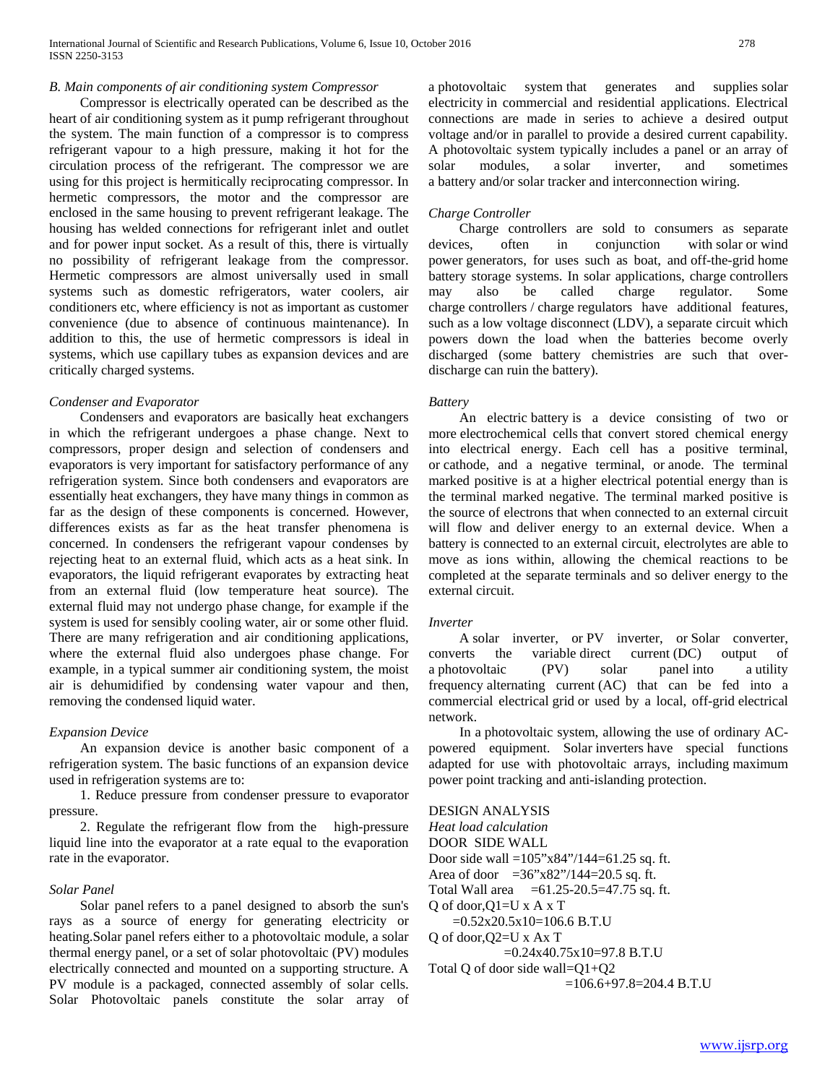#### *B. Main components of air conditioning system Compressor*

 Compressor is electrically operated can be described as the heart of air conditioning system as it pump refrigerant throughout the system. The main function of a compressor is to compress refrigerant vapour to a high pressure, making it hot for the circulation process of the refrigerant. The compressor we are using for this project is hermitically reciprocating compressor. In hermetic compressors, the motor and the compressor are enclosed in the same housing to prevent refrigerant leakage. The housing has welded connections for refrigerant inlet and outlet and for power input socket. As a result of this, there is virtually no possibility of refrigerant leakage from the compressor. Hermetic compressors are almost universally used in small systems such as domestic refrigerators, water coolers, air conditioners etc, where efficiency is not as important as customer convenience (due to absence of continuous maintenance). In addition to this, the use of hermetic compressors is ideal in systems, which use capillary tubes as expansion devices and are critically charged systems.

#### *Condenser and Evaporator*

 Condensers and evaporators are basically heat exchangers in which the refrigerant undergoes a phase change. Next to compressors, proper design and selection of condensers and evaporators is very important for satisfactory performance of any refrigeration system. Since both condensers and evaporators are essentially heat exchangers, they have many things in common as far as the design of these components is concerned. However, differences exists as far as the heat transfer phenomena is concerned. In condensers the refrigerant vapour condenses by rejecting heat to an external fluid, which acts as a heat sink. In evaporators, the liquid refrigerant evaporates by extracting heat from an external fluid (low temperature heat source). The external fluid may not undergo phase change, for example if the system is used for sensibly cooling water, air or some other fluid. There are many refrigeration and air conditioning applications, where the external fluid also undergoes phase change. For example, in a typical summer air conditioning system, the moist air is dehumidified by condensing water vapour and then, removing the condensed liquid water.

#### *Expansion Device*

 An expansion device is another basic component of a refrigeration system. The basic functions of an expansion device used in refrigeration systems are to:

 1. Reduce pressure from condenser pressure to evaporator pressure.

 2. Regulate the refrigerant flow from the high-pressure liquid line into the evaporator at a rate equal to the evaporation rate in the evaporator.

#### *Solar Panel*

 Solar panel refers to a panel designed to absorb the sun's rays as a source of energy for generating electricity or heating.Solar panel refers either to a photovoltaic module, a solar thermal energy panel, or a set of solar photovoltaic (PV) modules electrically connected and mounted on a supporting structure. A PV module is a packaged, connected assembly of solar cells. Solar Photovoltaic panels constitute the solar array of a photovoltaic system that generates and supplies solar electricity in commercial and residential applications. Electrical connections are made in series to achieve a desired output voltage and/or in parallel to provide a desired current capability. A photovoltaic system typically includes a panel or an array of solar modules, a solar inverter, and sometimes a battery and/or solar tracker and interconnection wiring.

#### *Charge Controller*

 Charge controllers are sold to consumers as separate devices, often in conjunction with solar or wind power generators, for uses such as boat, and off-the-grid home battery storage systems. In solar applications, charge controllers may also be called charge regulator. Some charge controllers / charge regulators have additional features, such as a low voltage disconnect (LDV), a separate circuit which powers down the load when the batteries become overly discharged (some battery chemistries are such that overdischarge can ruin the battery).

#### *Battery*

 An electric battery is a device consisting of two or more electrochemical cells that convert stored chemical energy into electrical energy. Each cell has a positive terminal, or cathode, and a negative terminal, or anode. The terminal marked positive is at a higher electrical potential energy than is the terminal marked negative. The terminal marked positive is the source of electrons that when connected to an external circuit will flow and deliver energy to an external device. When a battery is connected to an external circuit, electrolytes are able to move as ions within, allowing the chemical reactions to be completed at the separate terminals and so deliver energy to the external circuit.

#### *Inverter*

 A solar inverter, or PV inverter, or Solar converter, converts the variable direct current (DC) output of a photovoltaic (PV) solar panel into a utility frequency alternating current (AC) that can be fed into a commercial electrical grid or used by a local, off-grid electrical network.

 In a photovoltaic system, allowing the use of ordinary ACpowered equipment. Solar inverters have special functions adapted for use with photovoltaic arrays, including maximum power point tracking and anti-islanding protection.

```
DESIGN ANALYSIS
Heat load calculation
DOOR SIDE WALL
Door side wall =105"x84"/144=61.25 sq. ft.
Area of door = 36"x82"/144=20.5 sq. ft.
Total Wall area =61.25 - 20.5 = 47.75 sq. ft.
Q of door,Q1=U x A x T
   =0.52x20.5x10=106.6 B.T.U
Q of door,Q2=U x Ax T
            =0.24x40.75x10=97.8 B.T.U
Total Q of door side wall=Q1+Q2 
                       =106.6+97.8=204.4 B.T.U
```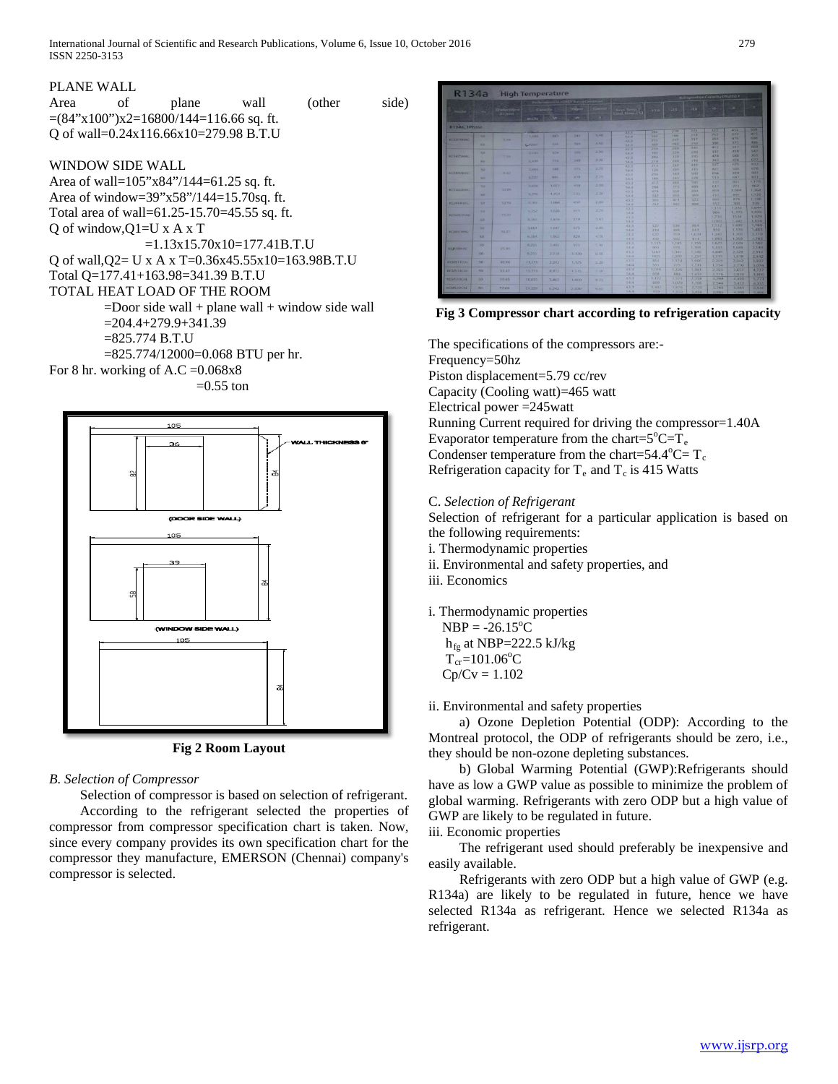International Journal of Scientific and Research Publications, Volume 6, Issue 10, October 2016 279 ISSN 2250-3153

#### PLANE WALL

| Area | of | plane                                   | wall | (other) | side) |
|------|----|-----------------------------------------|------|---------|-------|
|      |    | $=(84"x100"x2=16800/144=116.66$ sq. ft. |      |         |       |
|      |    | O of wall=0.24x116.66x10=279.98 B.T.U   |      |         |       |

#### WINDOW SIDE WALL

Area of wall=105"x84"/144=61.25 sq. ft. Area of window=39"x58"/144=15.70sq. ft. Total area of wall=61.25-15.70=45.55 sq. ft. Q of window,Q1=U x A x T  $=1.13x15.70x10=177.41B.T.U$ Q of wall,Q2= U x A x T=0.36x45.55x10=163.98B.T.U Total Q=177.41+163.98=341.39 B.T.U TOTAL HEAT LOAD OF THE ROOM  $=$ Door side wall + plane wall + window side wall =204.4+279.9+341.39 =825.774 B.T.U =825.774/12000=0.068 BTU per hr. For 8 hr. working of A.C =  $0.068x8$ 





**Fig 2 Room Layout**

#### *B. Selection of Compressor*

Selection of compressor is based on selection of refrigerant.

 According to the refrigerant selected the properties of compressor from compressor specification chart is taken. Now, since every company provides its own specification chart for the compressor they manufacture, EMERSON (Chennai) company's compressor is selected.



**Fig 3 Compressor chart according to refrigeration capacity**

The specifications of the compressors are:- Frequency=50hz Piston displacement=5.79 cc/rev Capacity (Cooling watt)=465 watt Electrical power =245watt Running Current required for driving the compressor=1.40A Evaporator temperature from the chart= $5^{\circ}$ C=T<sub>e</sub> Condenser temperature from the chart=54.4 $^{\circ}$ C= T<sub>c</sub> Refrigeration capacity for  $T_e$  and  $T_c$  is 415 Watts

#### C. *Selection of Refrigerant*

Selection of refrigerant for a particular application is based on the following requirements:

- i. Thermodynamic properties
- ii. Environmental and safety properties, and

iii. Economics

i. Thermodynamic properties  $NBP = -26.15^{\circ}C$  $h_{fg}$  at NBP=222.5 kJ/kg  $T_{cr} = 101.06$ °C  $Cp/Cv = 1.102$ 

ii. Environmental and safety properties

 a) Ozone Depletion Potential (ODP): According to the Montreal protocol, the ODP of refrigerants should be zero, i.e., they should be non-ozone depleting substances.

 b) Global Warming Potential (GWP):Refrigerants should have as low a GWP value as possible to minimize the problem of global warming. Refrigerants with zero ODP but a high value of GWP are likely to be regulated in future.

iii. Economic properties

 The refrigerant used should preferably be inexpensive and easily available.

 Refrigerants with zero ODP but a high value of GWP (e.g. R134a) are likely to be regulated in future, hence we have selected R134a as refrigerant. Hence we selected R134a as refrigerant.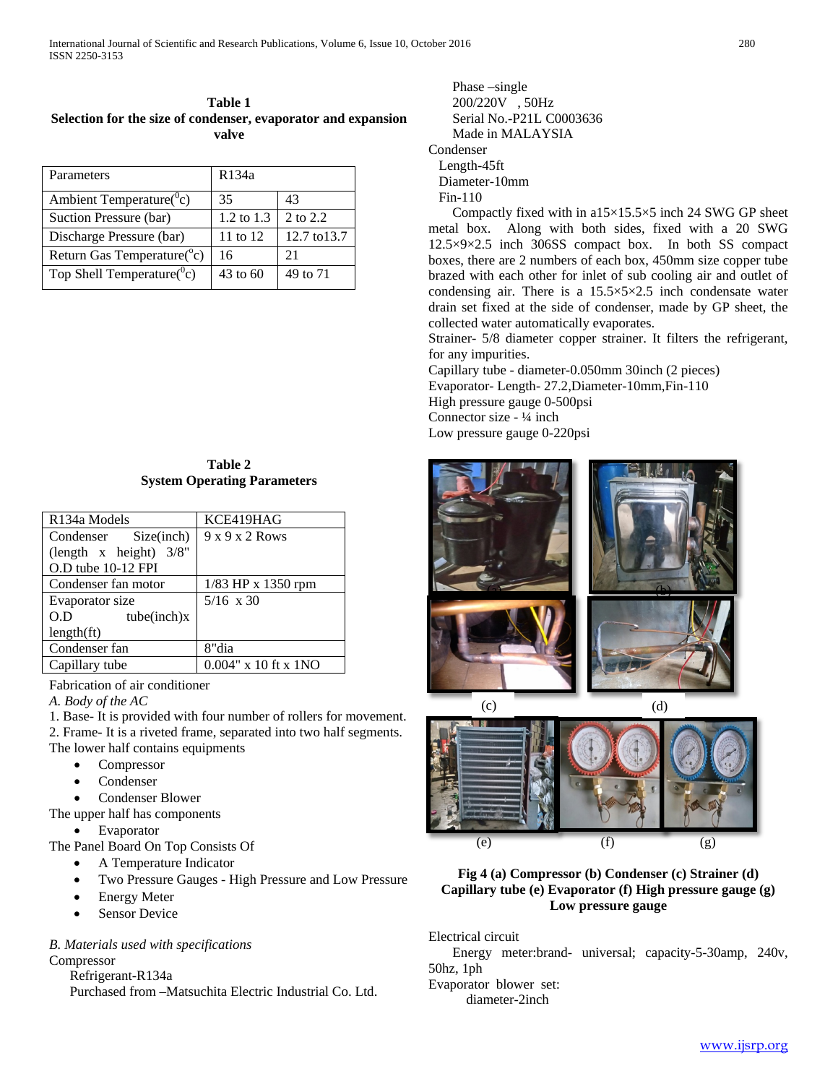**Table 1 Selection for the size of condenser, evaporator and expansion valve**

| Parameters                         | R <sub>134</sub> a |              |  |
|------------------------------------|--------------------|--------------|--|
| Ambient Temperature( $^0$ c)       | 35                 | 43           |  |
| Suction Pressure (bar)             | 1.2 to 1.3         | 2 to 2.2     |  |
| Discharge Pressure (bar)           | 11 to 12           | 12.7 to 13.7 |  |
| Return Gas Temperature(°c)         | 16                 | 21           |  |
| Top Shell Temperature( ${}^{0}$ c) | 43 to 60           | 49 to 71     |  |

**Table 2 System Operating Parameters**

| R <sub>134</sub> Models     | KCE419HAG               |  |  |
|-----------------------------|-------------------------|--|--|
| Condenser Size(inch)        | $9x9x2$ Rows            |  |  |
| (length $x$ height) $3/8$ " |                         |  |  |
| O.D tube 10-12 FPI          |                         |  |  |
| Condenser fan motor         | $1/83$ HP x $1350$ rpm  |  |  |
| Evaporator size             | $5/16 \times 30$        |  |  |
| O.D<br>tube(inch)x          |                         |  |  |
| length(f <sub>t</sub> )     |                         |  |  |
| Condenser fan               | 8"dia                   |  |  |
| Capillary tube              | $0.004$ " x 10 ft x 1NO |  |  |

Fabrication of air conditioner

*A. Body of the AC*

1. Base- It is provided with four number of rollers for movement. 2. Frame- It is a riveted frame, separated into two half segments. The lower half contains equipments

- Compressor
- Condenser
- Condenser Blower

The upper half has components

**Evaporator** 

The Panel Board On Top Consists Of

- A Temperature Indicator
- Two Pressure Gauges High Pressure and Low Pressure
- **Energy Meter**
- **Sensor Device**

*B. Materials used with specifications*

#### Compressor

Refrigerant-R134a

Purchased from –Matsuchita Electric Industrial Co. Ltd.

 Phase –single 200/220V , 50Hz Serial No.-P21L C0003636 Made in MALAYSIA Condenser Length-45ft

 Diameter-10mm Fin-110

Compactly fixed with in a15 $\times$ 15.5 $\times$ 5 inch 24 SWG GP sheet metal box. Along with both sides, fixed with a 20 SWG 12.5×9×2.5 inch 306SS compact box. In both SS compact boxes, there are 2 numbers of each box, 450mm size copper tube brazed with each other for inlet of sub cooling air and outlet of condensing air. There is a  $15.5 \times 5 \times 2.5$  inch condensate water drain set fixed at the side of condenser, made by GP sheet, the collected water automatically evaporates.

Strainer- 5/8 diameter copper strainer. It filters the refrigerant, for any impurities.

Capillary tube - diameter-0.050mm 30inch (2 pieces) Evaporator- Length- 27.2,Diameter-10mm,Fin-110 High pressure gauge 0-500psi Connector size - ¼ inch Low pressure gauge 0-220psi





**Fig 4 (a) Compressor (b) Condenser (c) Strainer (d) Capillary tube (e) Evaporator (f) High pressure gauge (g) Low pressure gauge**

Electrical circuit

 Energy meter:brand- universal; capacity-5-30amp, 240v, 50hz, 1ph

Evaporator blower set:

diameter-2inch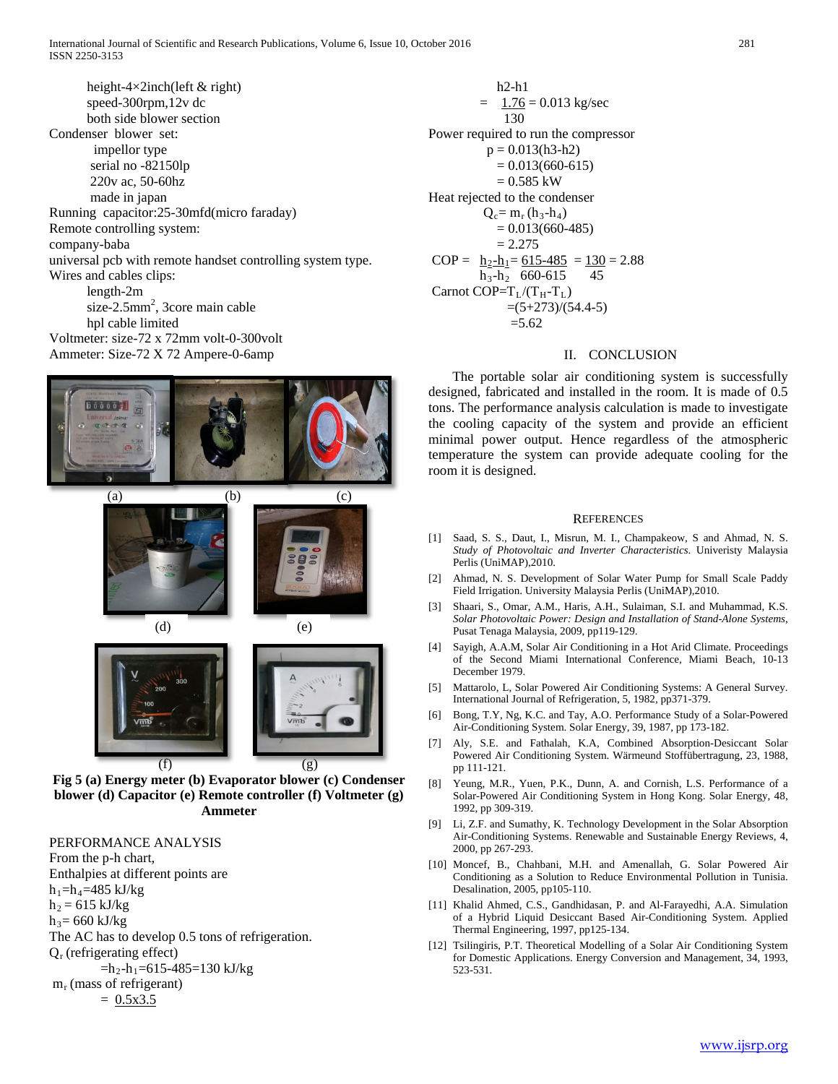International Journal of Scientific and Research Publications, Volume 6, Issue 10, October 2016 281 ISSN 2250-3153

 height-4×2inch(left & right) speed-300rpm,12v dc both side blower section Condenser blower set: impellor type serial no -82150lp 220v ac, 50-60hz made in japan Running capacitor:25-30mfd(micro faraday) Remote controlling system: company-baba universal pcb with remote handset controlling system type. Wires and cables clips: length-2m  $size-2.5mm^2$ , 3core main cable hpl cable limited Voltmeter: size-72 x 72mm volt-0-300volt Ammeter: Size-72 X 72 Ampere-0-6amp



**Fig 5 (a) Energy meter (b) Evaporator blower (c) Condenser blower (d) Capacitor (e) Remote controller (f) Voltmeter (g) Ammeter**

### PERFORMANCE ANALYSIS

From the p-h chart, Enthalpies at different points are  $h_1=h_4=485$  kJ/kg  $h_2 = 615$  kJ/kg  $h_3$ = 660 kJ/kg The AC has to develop 0.5 tons of refrigeration.  $Q<sub>r</sub>$  (refrigerating effect)  $=$ h<sub>2</sub>-h<sub>1</sub> $=$ 615-485=130 kJ/kg  $m_r$  (mass of refrigerant)  $= 0.5x3.5$ 

$$
h2-h1 = \frac{1.76}{1.30} = 0.013 \text{ kg/sec}
$$
  
\n
$$
= \frac{1.76}{1.30}
$$
  
\nPower required to run the compressor  
\n
$$
p = 0.013(63-h2)
$$
  
\n
$$
= 0.013(660-615)
$$
  
\n
$$
= 0.585 \text{ kW}
$$
  
\nHeat rejected to the condenser  
\n
$$
Q_c = m_r (h_3-h_4)
$$
  
\n
$$
= 0.013(660-485)
$$
  
\n
$$
= 2.275
$$
  
\nCOP = 
$$
h_2 - h_1 = \frac{615-485}{600-615} = \frac{130}{45} = 2.88
$$
  
\n
$$
h_3 - h_2 = \frac{615-485}{600-615} = \frac{130}{45} = 2.88
$$
  
\nCarnot COP = T<sub>L</sub>/(T<sub>H</sub>-T<sub>L</sub>)  
\n
$$
= (5+273)/(54.4-5)
$$
  
\n
$$
= 5.62
$$

### II. CONCLUSION

 The portable solar air conditioning system is successfully designed, fabricated and installed in the room. It is made of 0.5 tons. The performance analysis calculation is made to investigate the cooling capacity of the system and provide an efficient minimal power output. Hence regardless of the atmospheric temperature the system can provide adequate cooling for the room it is designed.

#### **REFERENCES**

- [1] Saad, S. S., Daut, I., Misrun, M. I., Champakeow, S and Ahmad, N. S. *Study of Photovoltaic and Inverter Characteristics*. Univeristy Malaysia Perlis (UniMAP),2010.
- [2] Ahmad, N. S. Development of Solar Water Pump for Small Scale Paddy Field Irrigation. University Malaysia Perlis (UniMAP),2010.
- [3] Shaari, S., Omar, A.M., Haris, A.H., Sulaiman, S.I. and Muhammad, K.S. *Solar Photovoltaic Power: Design and Installation of Stand-Alone Systems*, Pusat Tenaga Malaysia, 2009, pp119-129.
- [4] Sayigh, A.A.M, Solar Air Conditioning in a Hot Arid Climate. Proceedings of the Second Miami International Conference, Miami Beach, 10-13 December 1979.
- [5] Mattarolo, L, Solar Powered Air Conditioning Systems: A General Survey. International Journal of Refrigeration, 5, 1982, pp371-379.
- [6] Bong, T.Y, Ng, K.C. and Tay, A.O. Performance Study of a Solar-Powered Air-Conditioning System. Solar Energy, 39, 1987, pp 173-182.
- [7] Aly, S.E. and Fathalah, K.A, Combined Absorption-Desiccant Solar Powered Air Conditioning System. Wärmeund Stoffübertragung, 23, 1988, pp 111-121.
- [8] Yeung, M.R., Yuen, P.K., Dunn, A. and Cornish, L.S. Performance of a Solar-Powered Air Conditioning System in Hong Kong. Solar Energy, 48, 1992, pp 309-319.
- [9] Li, Z.F. and Sumathy, K. Technology Development in the Solar Absorption Air-Conditioning Systems. Renewable and Sustainable Energy Reviews, 4, 2000, pp 267-293.
- [10] Moncef, B., Chahbani, M.H. and Amenallah, G. Solar Powered Air Conditioning as a Solution to Reduce Environmental Pollution in Tunisia. Desalination, 2005, pp105-110.
- [11] Khalid Ahmed, C.S., Gandhidasan, P. and Al-Farayedhi, A.A. Simulation of a Hybrid Liquid Desiccant Based Air-Conditioning System. Applied Thermal Engineering, 1997, pp125-134.
- [12] Tsilingiris, P.T. Theoretical Modelling of a Solar Air Conditioning System for Domestic Applications. Energy Conversion and Management, 34, 1993, 523-531.